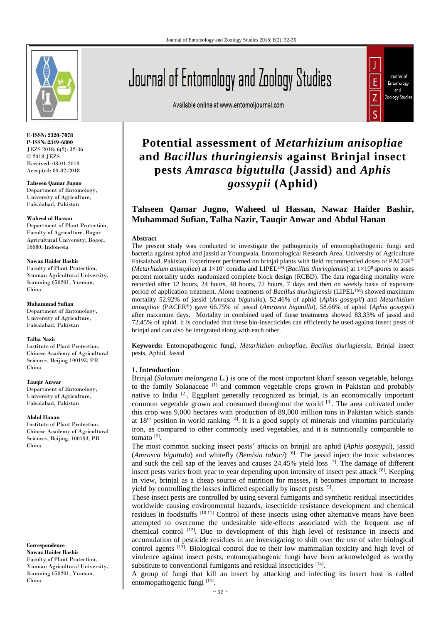

**E-ISSN: 2320-7078 P-ISSN: 2349-6800** JEZS 2018; 6(2): 32-36 © 2018 JEZS Received: 08-01-2018 Accepted: 09-02-2018

**Tahseen Qamar Jugno** Department of Entomology, University of Agriculture, Faisalabad, Pakistan

#### **Waheed ul Hassan**

Department of Plant Protection, Faculty of Agriculture, Bogor Agricultural University, Bogor, 16680, Indonesia

#### **Nawaz Haider Bashir**

Faculty of Plant Protection, Yunnan Agricultural University, Kunming 650201, Yunnan, China

#### **Muhammad Sufian**

Department of Entomology, University of Agriculture, Faisalabad, Pakistan

#### **Talha Nazir**

Institute of Plant Protection, Chinese Academy of Agricultural Sciences, Beijing 100193, PR China

#### **Tauqir Anwar**

Department of Entomology, University of Agriculture, Faisalabad, Pakistan

#### **Abdul Hanan**

Institute of Plant Protection, Chinese Academy of Agricultural Sciences, Beijing, 100193, PR China

**Correspondence Nawaz Haider Bashir** Faculty of Plant Protection, Yunnan Agricultural University, Kunming 650201, Yunnan, China

# Journal of Entomology and Zoology Studies

Available online at www.entomoljournal.com



# **Potential assessment of** *Metarhizium anisopliae*  **and** *Bacillus thuringiensis* **against Brinjal insect pests** *Amrasca bigutulla* **(Jassid) and** *Aphis gossypii* **(Aphid)**

# **Tahseen Qamar Jugno, Waheed ul Hassan, Nawaz Haider Bashir, Muhammad Sufian, Talha Nazir, Tauqir Anwar and Abdul Hanan**

#### **Abstract**

The present study was conducted to investigate the pathogenicity of entomophathogenic fungi and bacteria against aphid and jassid at Youngwala, Entomological Research Area, University of Agriculture Faisalabad, Pakistan. Experiment performed on brinjal plants with field recommended doses of PACER® (*Metarhizium anisopliae*) at  $1\times10^7$  conidia and LIPEL<sup>TM</sup> (*Bacillus thuringiensis*) at  $1\times10^8$  spores to asses percent mortality under randomized complete block design (RCBD). The data regarding mortality were recorded after 12 hours, 24 hours, 48 hours, 72 hours, 7 days and then on weekly basis of exposure period of application treatment. Alone treatments of *Bacillus thuringiensis* (LIPELTM) showed maximum mortality 52.92% of jassid (*Amrasca bigutulla*), 52.46% of aphid (*Aphis gossypii*) and *Metarhizium anisopliae* (PACER®) gave 66.75% of jassid (*Amrasca bigutulla*), 58.66% of aphid (*Aphis gossypii*) after maximum days. Mortality in combined used of these treatments showed 83.33% of jassid and 72.45% of aphid. It is concluded that these bio-insecticides can efficiently be used against insect pests of brinjal and can also be integrated along with each other.

**Keywords:** Entomopathogenic fungi, *Metarhizium anisopliae*, *Bacillus thuringiensis,* Brinjal insect pests, Aphid, Jassid

# **1. Introduction**

Brinjal (*Solanum melongena* L.) is one of the most important kharif season vegetable, belongs to the family Solanaceae [1] and common vegetable crops grown in Pakistan and probably native to India [2]. Eggplant generally recognized as brinjal, is an economically important common vegetable grown and consumed throughout the world <sup>[3]</sup>. The area cultivated under this crop was 9,000 hectares with production of 89,000 million tons in Pakistan which stands at  $18<sup>th</sup>$  position in world ranking  $<sup>[4]</sup>$ . It is a good supply of minerals and vitamins particularly</sup> iron, as compared to other commonly used vegetables, and it is nutritionally comparable to tomato<sup>[5]</sup>.

The most common sucking insect pests' attacks on brinjal are aphid (*Aphis gossypii*), jassid (*Amrasca biguttula*) and whitefly (*Bemisia tabaci*) [6]. The jassid inject the toxic substances and suck the cell sap of the leaves and causes  $24.45\%$  yield loss  $^{[7]}$ . The damage of different insect pests varies from year to year depending upon intensity of insect pest attack [8]. Keeping in view, brinjal as a cheap source of nutrition for masses, it becomes important to increase yield by controlling the losses inflicted especially by insect pests [9].

These insect pests are controlled by using several fumigants and synthetic residual insecticides worldwide causing environmental hazards, insecticide resistance development and chemical residues in foodstuffs [10,11] Control of these insects using other alternative means have been attempted to overcome the undesirable side-effects associated with the frequent use of chemical control  $[12]$ . Due to development of this high level of resistance in insects and accumulation of pesticide residues in are investigating to shift over the use of safer biological control agents <sup>[13]</sup>. Biological control due to their low mammalian toxicity and high level of virulence against insect pests; entomopathogenic fungi have been acknowledged as worthy substitute to conventional fumigants and residual insecticides [14].

A group of fungi that kill an insect by attacking and infecting its insect host is called entomopathogenic fungi [15].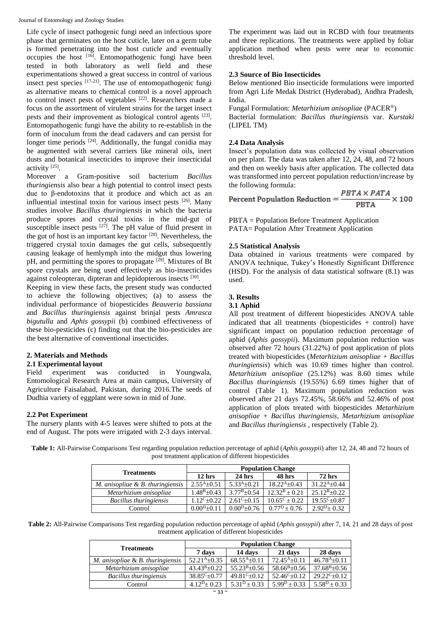Life cycle of insect pathogenic fungi need an infectious spore phase that germinates on the host cuticle, later on a germ tube is formed penetrating into the host cuticle and eventually occupies the host <sup>[16]</sup>. Entomopathogenic fungi have been tested in both laboratory as well field and these experimentations showed a great success in control of various insect pest species <sup>[17-21]</sup>. The use of entomopathogenic fungi as alternative means to chemical control is a novel approach to control insect pests of vegetables <sup>[22]</sup>. Researchers made a focus on the assortment of virulent strains for the target insect pests and their improvement as biological control agents [23]. Entomopathogenic fungi have the ability to re-establish in the form of inoculum from the dead cadavers and can persist for longer time periods <sup>[24]</sup>. Additionally, the fungal conidia may be augmented with several carriers like mineral oils, inert dusts and botanical insecticides to improve their insecticidal activity<sup>[25]</sup>.

Moreover a Gram-positive soil bacterium *Bacillus thuringiensis* also bear a high potential to control insect pests due to β-endotoxins that it produce and which act as an influential intestinal toxin for various insect pests [26]. Many studies involve *Bacillus thuringiensis* in which the bacteria produce spores and crystal toxins in the mid-gut of susceptible insect pests  $[27]$ . The pH value of fluid present in the gut of host is an important key factor [28]. Nevertheless, the triggered crystal toxin damages the gut cells, subsequently causing leakage of hemlymph into the midgut thus lowering pH, and permitting the spores to propagate [29]. Mixtures of Bt spore crystals are being used effectively as bio-insecticides against coleopteran, dipteran and lepidopterous insects [30].

Keeping in view these facts, the present study was conducted to achieve the following objectives; (a) to assess the individual performance of biopesticides *Beauveria bassiana*  and *Bacillus thuringiensis* against brinjal pests *Amrasca bigutulla* and *Aphis gossypii* (b) combined effectiveness of these bio-pesticides (c) finding out that the bio-pesticides are the best alternative of conventional insecticides.

# **2. Materials and Methods**

# **2.1 Experimental layout**

Field experiment was conducted in Youngwala, Entomological Research Area at main campus, University of Agriculture Faisalabad, Pakistan, during 2016.The seeds of Dudhia variety of eggplant were sown in mid of June.

#### **2.2 Pot Experiment**

The nursery plants with 4-5 leaves were shifted to pots at the end of August. The pots were irrigated with 2-3 days interval. The experiment was laid out in RCBD with four treatments and three replications. The treatments were applied by foliar application method when pests were near to economic threshold level.

# **2.3 Source of Bio Insecticides**

Below mentioned Bio insecticide formulations were imported from Agri Life Medak District (Hyderabad), Andhra Pradesh, India.

Fungal Formulation: *Metarhizium anisopliae* (PACER®) Bacterial formulation: *Bacillus thuringiensis* var. *Kurstaki*  (LIPEL TM)

# **2.4 Data Analysis**

Insect's population data was collected by visual observation on per plant. The data was taken after 12, 24, 48, and 72 hours and then on weekly basis after application. The collected data was transformed into percent population reduction/increase by the following formula:

Percent Population Reduction =  $\frac{PBTA \times PATA}{PBTA} \times 100$ 

PBTA = Population Before Treatment Application PATA= Population After Treatment Application

# **2.5 Statistical Analysis**

Data obtained in various treatments were compared by ANOVA technique, Tukey's Honestly Significant Difference (HSD). For the analysis of data statistical software (8.1) was used.

# **3. Results**

#### **3.1 Aphid**

All post treatment of different biopesticides ANOVA table indicated that all treatments (biopesticides + control) have significant impact on population reduction percentage of aphid (*Aphis gossypii*). Maximum population reduction was observed after 72 hours (31.22%) of post application of plots treated with biopesticides (*Metarhizium anisopliae + Bacillus thuringiensis*) which was 10.69 times higher than control. *Metarhizium anisopliae* (25.12%) was 8.60 times while *Bacillus thuringiensis* (19.55%) 6.69 times higher that of control (Table 1). Maximum population reduction was observed after 21 days 72.45%, 58.66% and 52.46% of post application of plots treated with biopesticides *Metarhizium anisopliae + Bacillus thuringiensis*, *Metarhizium anisopliae* and *Bacillus thuringiensis* , respectively (Table 2).

**Table 1:** All-Pairwise Comparisons Test regarding population reduction percentage of aphid (*Aphis gossypii*) after 12, 24, 48 and 72 hours of post treatment application of different biopesticides

| <b>Treatments</b>                | <b>Population Change</b> |                       |                          |                         |
|----------------------------------|--------------------------|-----------------------|--------------------------|-------------------------|
|                                  | $12$ hrs                 | $24$ hrs              | 48 hrs                   | <b>72 hrs</b>           |
| M. anisopliae & B. thuringiensis | $2.55^{A} \pm 0.51$      | $5.33^{A}+0.21$       | $18.22^{A+0.43}$         | $31.22^{A+0.44}$        |
| Metarhizium anisopliae           | $1.48^{\rm B} \pm 0.43$  | $3.77^{\rm B} + 0.54$ | $12.32^B + 0.21$         | $25.12^{B+0.22}$        |
| <b>Bacillus thuringiensis</b>    | $1.12^{\rm C} + 0.22$    | $2.61^{\circ}+0.15$   | $10.65^{\circ} \pm 0.22$ | $19.55^{\circ}$ ±0.87   |
| Control                          | $0.00^{D+0.11}$          | $0.00^{D+0.76}$       | $0.77^{\rm D}$ + 0.76    | $2.92^{\rm D} \pm 0.32$ |

**Table 2:** All-Pairwise Comparisons Test regarding population reduction percentage of aphid (*Aphis gossypii*) after 7, 14, 21 and 28 days of post treatment application of different biopesticides

| <b>Treatments</b>                   | <b>Population Change</b> |                  |                         |                      |
|-------------------------------------|--------------------------|------------------|-------------------------|----------------------|
|                                     | 7 days                   | 14 days          | 21 days                 | 28 days              |
| M. anisopliae $\&$ B. thuringiensis | $52.21^{A+0.35}$         | $68.55^{A}+0.11$ | $72.45^{A+0.11}$        | $46.78^{A} \pm 0.11$ |
| Metarhizium anisopliae              | $43.43^{B+}0.22$         | $55.23^{B+0.56}$ | $58.66^B \pm 0.56$      | $37.68B \pm 0.56$    |
| Bacillus thuringiensis              | $38.85^{\circ}$ ± 0.77   | $49.81C+0.12$    | $52.46^{\circ}+0.12$    | $29.22^C + 0.12$     |
| Control                             | $4.12^{D} + 0.23$        | $5.31D + 0.33$   | $5.99^{\rm D} \pm 0.33$ | $5.58^D \pm 0.33$    |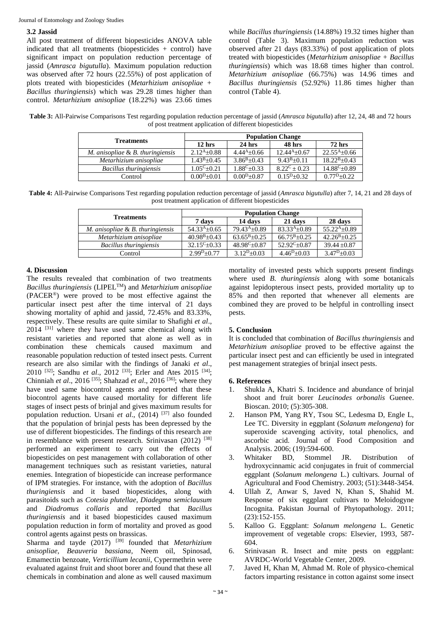#### **3.2 Jassid**

All post treatment of different biopesticides ANOVA table indicated that all treatments (biopesticides + control) have significant impact on population reduction percentage of jassid (*Amrasca bigutulla*). Maximum population reduction was observed after 72 hours (22.55%) of post application of plots treated with biopesticides (*Metarhizium anisopliae + Bacillus thuringiensis*) which was 29.28 times higher than control. *Metarhizium anisopliae* (18.22%) was 23.66 times

while *Bacillus thuringiensis* (14.88%) 19.32 times higher than control (Table 3). Maximum population reduction was observed after 21 days (83.33%) of post application of plots treated with biopesticides (*Metarhizium anisopliae + Bacillus thuringiensis*) which was 18.68 times higher than control. *Metarhizium anisopliae* (66.75%) was 14.96 times and *Bacillus thuringiensis* (52.92%) 11.86 times higher than control (Table 4).

**Table 3:** All-Pairwise Comparisons Test regarding population reduction percentage of jassid (*Amrasca bigutulla*) after 12, 24, 48 and 72 hours of post treatment application of different biopesticides

| <b>Treatments</b>                   | <b>Population Change</b> |                       |                  |                       |
|-------------------------------------|--------------------------|-----------------------|------------------|-----------------------|
|                                     | $12$ hrs                 | $24$ hrs              | 48 hrs           | <b>72 hrs</b>         |
| M. anisopliae $\&$ B. thuringiensis | $2.12^{A}+0.88$          | $4.44^{A+0.66}$       | $12.44^{A+0.67}$ | $22.55^{A} \pm 0.66$  |
| Metarhizium anisopliae              | $1.43^{\rm B} + 0.45$    | $3.86^{\rm B} + 0.43$ | $9.43^{B+0.11}$  | $18.22^{B+0.43}$      |
| Bacillus thuringiensis              | $1.05^{\text{C}}+0.21$   | $1.88^C + 0.33$       | $8.22^C + 0.23$  | $14.88^{\circ}$ ±0.89 |
| Control                             | $0.00^{D+0.01}$          | $0.00^{D+0.87}$       | $0.15D+0.32$     | $0.77P_{0.22}$        |

**Table 4:** All-Pairwise Comparisons Test regarding population reduction percentage of jassid (*Amrasca bigutulla*) after 7, 14, 21 and 28 days of post treatment application of different biopesticides

| <b>Treatments</b>                | <b>Population Change</b> |                         |                  |                        |
|----------------------------------|--------------------------|-------------------------|------------------|------------------------|
|                                  | 7 days                   | 14 days                 | 21 days          | 28 days                |
| M. anisopliae & B. thuringiensis | $54.33^{A+0.65}$         | $79.43^{A+0.89}$        | $83.33^{A+0.89}$ | $55.22^{A+0.89}$       |
| Metarhizium anisopliae           | $40.98^{\rm B} + 0.43$   | $63.65^{\rm B} + 0.25$  | $66.75^{B+0.25}$ | $42.26^{\rm B} + 0.25$ |
| Bacillus thuringiensis           | $32.15^{\circ}+0.33$     | $48.98^{\text{C}}+0.87$ | $52.92^C+0.87$   | $39.44 \pm 0.87$       |
| Control                          | $2.99D+0.77$             | $3.12^{D+0.03}$         | $4.46^{D+0.03}$  | $3.47^{\rm D}$ ± 0.03  |

# **4. Discussion**

The results revealed that combination of two treatments *Bacillus thuringiensis* (LIPELTM) and *Metarhizium anisopliae* (PACER®) were proved to be most effective against the particular insect pest after the time interval of 21 days showing mortality of aphid and jassid, 72.45% and 83.33%, respectively. These results are quite similar to Shafighi *et al*.,  $2014$  <sup>[31]</sup> where they have used same chemical along with resistant varieties and reported that alone as well as in combination these chemicals caused maximum and reasonable population reduction of tested insect pests. Current research are also similar with the findings of Janaki *et al*., 2010<sup>[32]</sup>; Sandhu *et al.*, 2012<sup>[33]</sup>; Erler and Ates 2015<sup>[34]</sup>; Chinniah *et al*., 2016 [35] ; Shahzad *et al*., 2016 [36] ; where they have used same biocontrol agents and reported that these biocontrol agents have caused mortality for different life stages of insect pests of brinjal and gives maximum results for population reduction. Ursani *et al.*, (2014)<sup>[37]</sup> also founded that the population of brinjal pests has been depressed by the use of different biopesticides. The findings of this research are in resemblance with present research. Srinivasan (2012) [38] performed an experiment to carry out the effects of biopesticides on pest management with collaboration of other management techniques such as resistant varieties, natural enemies. Integration of biopesticide can increase performance of IPM strategies. For instance, with the adoption of *Bacillus thuringiensis* and it based biopesticides, along with parasitoids such as *Cotesia plutellae*, *Diadegma semiclausum* and *Diadromus collaris* and reported that *Bacillus thuringiensis* and it based biopesticides caused maximum population reduction in form of mortality and proved as good control agents against pests on brassicas.

Sharma and tayde (2017)<sup>[39]</sup> founded that *Metarhizium anisopliae, Beauveria bassiana*, Neem oil, Spinosad, Emamectin benzoate, *Verticillium lecanii*, Cypermethrin were evaluated against fruit and shoot borer and found that these all chemicals in combination and alone as well caused maximum

mortality of invested pests which supports present findings where used *B. thuringiensis* along with some botanicals against lepidopterous insect pests, provided mortality up to 85% and then reported that whenever all elements are combined they are proved to be helpful in controlling insect pests.

# **5. Conclusion**

It is concluded that combination of *Bacillus thuringiensis* and *Metarhizium anisopliae* proved to be effective against the particular insect pest and can efficiently be used in integrated pest management strategies of brinjal insect pests.

# **6. References**

- 1. Shukla A, Khatri S. Incidence and abundance of brinjal shoot and fruit borer *Leucinodes orbonalis* Guenee. Bioscan. 2010; (5):305-308.
- 2. Hanson PM, Yang RY, Tsou SC, Ledesma D, Engle L, Lee TC. Diversity in eggplant (*Solanum melongena*) for superoxide scavenging activity, total phenolics, and ascorbic acid. Journal of Food Composition and Analysis. 2006; (19):594-600.
- 3. Whitaker BD, Stommel JR. Distribution of hydroxycinnamic acid conjugates in fruit of commercial eggplant (*Solanum melongena* L.) cultivars. Journal of Agricultural and Food Chemistry. 2003; (51):3448-3454.
- 4. Ullah Z, Anwar S, Javed N, Khan S, Shahid M. Response of six eggplant cultivars to Meloidogyne Incognita. Pakistan Journal of Phytopathology. 2011; (23):152-155.
- 5. Kalloo G. Eggplant: *Solanum melongena* L. Genetic improvement of vegetable crops: Elsevier, 1993, 587- 604.
- 6. Srinivasan R. Insect and mite pests on eggplant: AVRDC-World Vegetable Center, 2009.
- 7. Javed H, Khan M, Ahmad M. Role of physico-chemical factors imparting resistance in cotton against some insect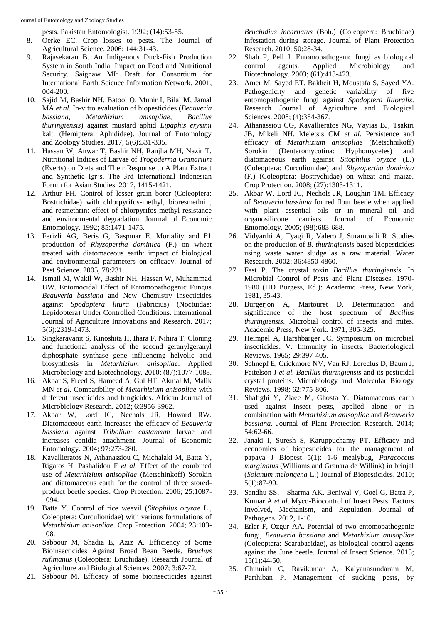Journal of Entomology and Zoology Studies

pests. Pakistan Entomologist. 1992; (14):53-55.

- 8. Oerke EC. Crop losses to pests. The Journal of Agricultural Science. 2006; 144:31-43.
- 9. Rajasekaran B. An Indigenous Duck-Fish Production System in South India. Impact on Food and Nutritional Security. Saignaw MI: Draft for Consortium for International Earth Science Information Network. 2001, 004-200.
- 10. Sajid M, Bashir NH, Batool Q, Munir I, Bilal M, Jamal MA *et al.* In-vitro evaluation of biopesticides (*Beauveria bassiana, Metarhizium anisopliae, Bacillus thuringiensis*) against mustard aphid *Lipaphis erysimi* kalt. (Hemiptera: Aphididae). Journal of Entomology and Zoology Studies. 2017; 5(6):331-335.
- 11. Hassan W, Anwar T, Bashir NH, Ranjha MH, Nazir T. Nutritional Indices of Larvae of *Trogoderma Granarium* (Everts) on Diets and Their Response to A Plant Extract and Synthetic Igr's. The 3rd International Indonesian Forum for Asian Studies. 2017, 1415-1421.
- 12. Arthur FH. Control of lesser grain borer (Coleoptera: Bostrichidae) with chlorpyrifos-methyl, bioresmethrin, and resmethrin: effect of chlorpyrifos-methyl resistance and environmental degradation. Journal of Economic Entomology. 1992; 85:1471-1475.
- 13. Ferizli AG, Beris G, Baspınar E. Mortality and F1 production of *Rhyzopertha dominica* (F.) on wheat treated with diatomaceous earth: impact of biological and environmental parameters on efficacy. Journal of Pest Science. 2005; 78:231.
- 14. Ismail M, Wakil W, Bashir NH, Hassan W, Muhammad UW. Entomocidal Effect of Entomopathogenic Fungus *Beauveria bassiana* and New Chemistry Insecticides against *Spodoptera litura* (Fabricius) (Noctuidae: Lepidoptera) Under Controlled Conditions. International Journal of Agriculture Innovations and Research. 2017; 5(6):2319-1473.
- 15. Singkaravanit S, Kinoshita H, Ihara F, Nihira T. Cloning and functional analysis of the second geranylgeranyl diphosphate synthase gene influencing helvolic acid biosynthesis in *Metarhizium anisopliae*. Applied Microbiology and Biotechnology. 2010; (87):1077-1088.
- 16. Akbar S, Freed S, Hameed A, Gul HT, Akmal M, Malik MN *et al.* Compatibility of *Metarhizium anisopliae* with different insecticides and fungicides. African Journal of Microbiology Research. 2012; 6:3956-3962.
- 17. Akbar W, Lord JC, Nechols JR, Howard RW. Diatomaceous earth increases the efficacy of *Beauveria bassiana* against *Tribolium castaneum* larvae and increases conidia attachment. Journal of Economic Entomology. 2004; 97:273-280.
- 18. Kavallieratos N, Athanassiou C, Michalaki M, Batta Y, Rigatos H, Pashalidou F *et al.* Effect of the combined use of *Metarhizium anisopliae* (Metschinkoff) Sorokin and diatomaceous earth for the control of three storedproduct beetle species. Crop Protection. 2006; 25:1087- 1094.
- 19. Batta Y. Control of rice weevil (*Sitophilus oryzae* L., Coleoptera: Curculionidae) with various formulations of *Metarhizium anisopliae*. Crop Protection. 2004; 23:103- 108.
- 20. Sabbour M, Shadia E, Aziz A. Efficiency of Some Bioinsecticides Against Broad Bean Beetle, *Bruchus rufimanus* (Coleoptera: Bruchidae). Research Journal of Agriculture and Biological Sciences. 2007; 3:67-72.
- 21. Sabbour M. Efficacy of some bioinsecticides against

*Bruchidius incarnatus* (Boh.) (Coleoptera: Bruchidae) infestation during storage. Journal of Plant Protection Research. 2010; 50:28-34.

- 22. Shah P, Pell J. Entomopathogenic fungi as biological control agents. Applied Microbiology and Biotechnology. 2003; (61):413-423.
- 23. Amer M, Sayed ET, Bakheit H, Moustafa S, Sayed YA. Pathogenicity and genetic variability of five entomopathogenic fungi against *Spodoptera littoralis*. Research Journal of Agriculture and Biological Sciences. 2008; (4):354-367.
- 24. Athanassiou CG, Kavallieratos NG, Vayias BJ, Tsakiri JB, Mikeli NH, Meletsis CM *et al.* Persistence and efficacy of *Metarhizium anisopliae* (Metschnikoff) Sorokin (Deuteromycotina: Hyphomycetes) and diatomaceous earth against *Sitophilus oryzae* (L.) (Coleoptera: Curculionidae) and *Rhyzopertha dominica*  (F.) (Coleoptera: Bostrychidae) on wheat and maize. Crop Protection. 2008; (27):1303-1311.
- 25. Akbar W, Lord JC, Nechols JR, Loughin TM. Efficacy of *Beauveria bassiana* for red flour beetle when applied with plant essential oils or in mineral oil and organosilicone carriers. Journal of Economic Entomology. 2005; (98):683-688.
- 26. Vidyarthi A, Tyagi R, Valero J, Surampalli R. Studies on the production of *B. thuringiensis* based biopesticides using waste water sludge as a raw material. Water Research. 2002; 36:4850-4860.
- 27. Fast P. The crystal toxin *Bacillus thuringiensis*. In Microbial Control of Pests and Plant Diseases, 1970- 1980 (HD Burgess, Ed.): Academic Press, New York, 1981, 35-43.
- 28. Burgerjon A, Martouret D. Determination and significance of the host spectrum of *Bacillus thuringiensis*. Microbial control of insects and mites. Academic Press, New York. 1971, 305-325.
- 29. Heimpel A, Harshbarger JC. Symposium on microbial insecticides. V. Immunity in insects. Bacteriological Reviews. 1965; 29:397-405.
- 30. Schnepf E, Crickmore NV, Van RJ, Lereclus D, Baum J, Feitelson J *et al. Bacillus thuringiensis* and its pesticidal crystal proteins. Microbiology and Molecular Biology Reviews. 1998; 62:775-806.
- 31. Shafighi Y, Ziaee M, Ghosta Y. Diatomaceous earth used against insect pests, applied alone or in combination with *Metarhizium anisopliae* and *Beauveria bassiana*. Journal of Plant Protection Research. 2014; 54:62-66.
- 32. Janaki I, Suresh S, Karuppuchamy PT. Efficacy and economics of biopesticides for the management of papaya J Biopest 5(1): 1-6 mealybug, *Paracoccus marginatus* (Williams and Granara de Willink) in brinjal (*Solanum melongena* L.) Journal of Biopesticides. 2010; 5(1):87-90.
- 33. Sandhu SS, Sharma AK, Beniwal V, Goel G, Batra P, Kumar A *et al*. Myco-Biocontrol of Insect Pests: Factors Involved, Mechanism, and Regulation. Journal of Pathogens. 2012, 1-10.
- 34. Erler F, Ozgur AA. Potential of two entomopathogenic fungi, *Beauveria bassiana* and *Metarhizium anisopliae* (Coleoptera: Scarabaeidae), as biological control agents against the June beetle. Journal of Insect Science. 2015; 15(1):44-50.
- 35. Chinniah C, Ravikumar A, Kalyanasundaram M, Parthiban P. Management of sucking pests, by